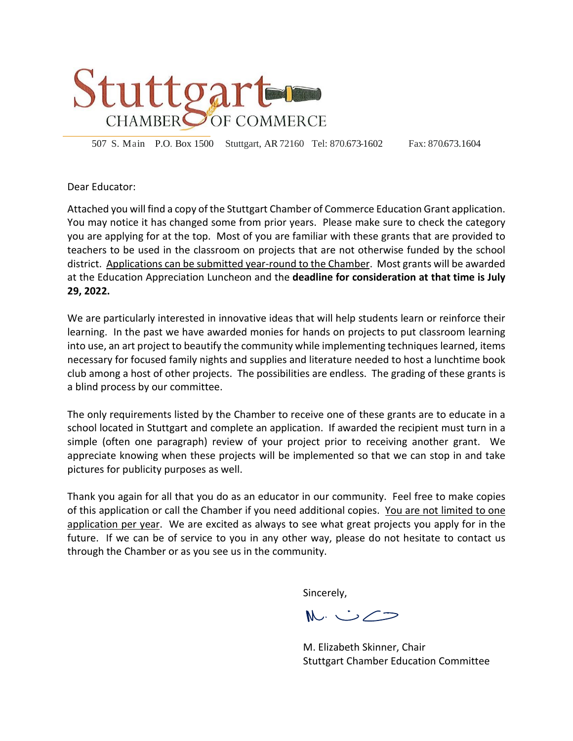

507 S. Main P.O. Box 1500 Stuttgart, AR72160 Tel: 870.673-1602 Fax: 870.673.1604

Dear Educator:

Attached you will find a copy of the Stuttgart Chamber of Commerce Education Grant application. You may notice it has changed some from prior years. Please make sure to check the category you are applying for at the top. Most of you are familiar with these grants that are provided to teachers to be used in the classroom on projects that are not otherwise funded by the school district. Applications can be submitted year-round to the Chamber. Most grants will be awarded at the Education Appreciation Luncheon and the **deadline for consideration at that time is July 29, 2022.**

We are particularly interested in innovative ideas that will help students learn or reinforce their learning. In the past we have awarded monies for hands on projects to put classroom learning into use, an art project to beautify the community while implementing techniques learned, items necessary for focused family nights and supplies and literature needed to host a lunchtime book club among a host of other projects. The possibilities are endless. The grading of these grants is a blind process by our committee.

The only requirements listed by the Chamber to receive one of these grants are to educate in a school located in Stuttgart and complete an application. If awarded the recipient must turn in a simple (often one paragraph) review of your project prior to receiving another grant. We appreciate knowing when these projects will be implemented so that we can stop in and take pictures for publicity purposes as well.

Thank you again for all that you do as an educator in our community. Feel free to make copies of this application or call the Chamber if you need additional copies. You are not limited to one application per year. We are excited as always to see what great projects you apply for in the future. If we can be of service to you in any other way, please do not hesitate to contact us through the Chamber or as you see us in the community.

Sincerely,

 $M\cup\angle$ 

M. Elizabeth Skinner, Chair Stuttgart Chamber Education Committee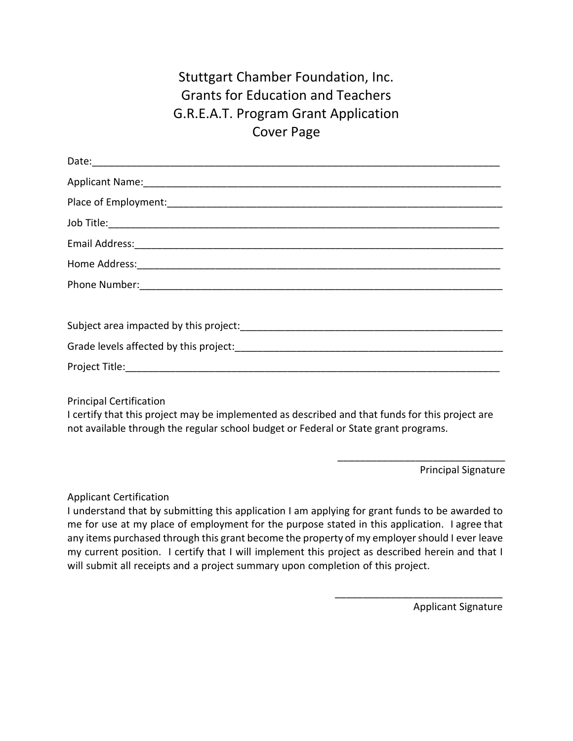## Stuttgart Chamber Foundation, Inc. Grants for Education and Teachers G.R.E.A.T. Program Grant Application Cover Page

Principal Certification

I certify that this project may be implemented as described and that funds for this project are not available through the regular school budget or Federal or State grant programs.

Principal Signature

\_\_\_\_\_\_\_\_\_\_\_\_\_\_\_\_\_\_\_\_\_\_\_\_\_\_\_\_\_\_

\_\_\_\_\_\_\_\_\_\_\_\_\_\_\_\_\_\_\_\_\_\_\_\_\_\_\_\_\_\_

Applicant Certification

I understand that by submitting this application I am applying for grant funds to be awarded to me for use at my place of employment for the purpose stated in this application. I agree that any items purchased through this grant become the property of my employer should I ever leave my current position. I certify that I will implement this project as described herein and that I will submit all receipts and a project summary upon completion of this project.

Applicant Signature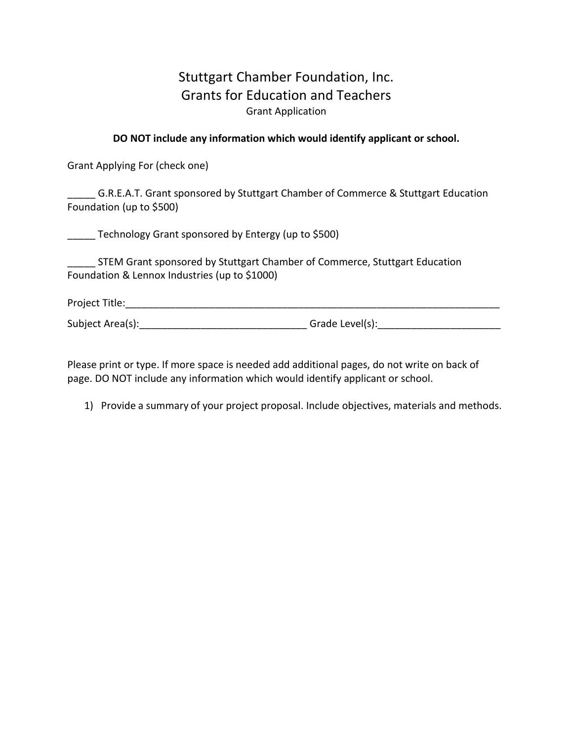## Stuttgart Chamber Foundation, Inc. Grants for Education and Teachers Grant Application

## **DO NOT include any information which would identify applicant or school.**

Grant Applying For (check one)

\_\_\_\_\_ G.R.E.A.T. Grant sponsored by Stuttgart Chamber of Commerce & Stuttgart Education Foundation (up to \$500)

Technology Grant sponsored by Entergy (up to \$500)

**\_\_\_\_\_ STEM Grant sponsored by Stuttgart Chamber of Commerce, Stuttgart Education** Foundation & Lennox Industries (up to \$1000)

Project Title: which is a set of the set of the set of the set of the set of the set of the set of the set of the set of the set of the set of the set of the set of the set of the set of the set of the set of the set of th

Subject Area(s):\_\_\_\_\_\_\_\_\_\_\_\_\_\_\_\_\_\_\_\_\_\_\_\_\_\_\_\_\_\_ Grade Level(s):\_\_\_\_\_\_\_\_\_\_\_\_\_\_\_\_\_\_\_\_\_\_

Please print or type. If more space is needed add additional pages, do not write on back of page. DO NOT include any information which would identify applicant or school.

1) Provide a summary of your project proposal. Include objectives, materials and methods.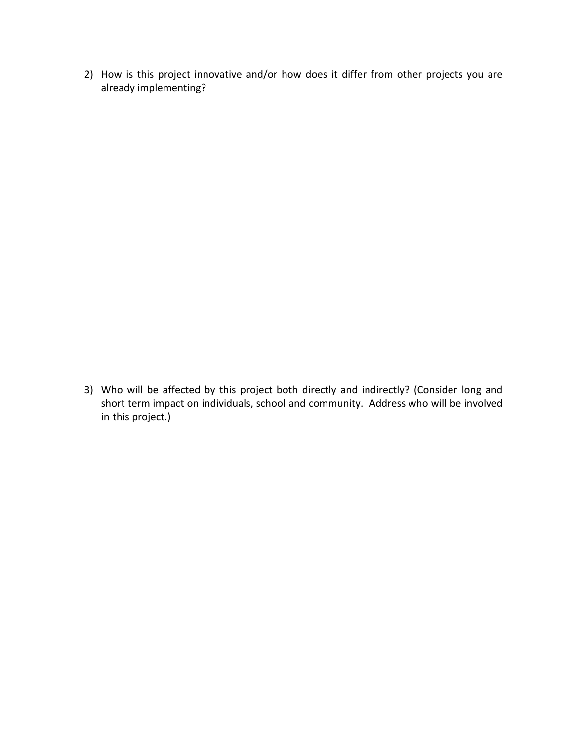2) How is this project innovative and/or how does it differ from other projects you are already implementing?

3) Who will be affected by this project both directly and indirectly? (Consider long and short term impact on individuals, school and community. Address who will be involved in this project.)